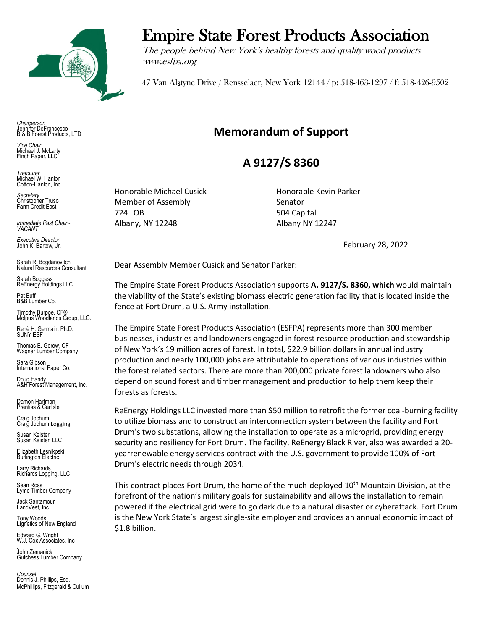

*Chairperson* Jennifer DeFrancesco B & B Forest Products, LTD

*Vice Chair* Michael J. McLarty Finch Paper, LLC

*Treasurer* Michael W. Hanlon Cotton-Hanlon, Inc.

*Secretary* Christopher Truso Farm Credit East

*Immediate Past Chair - VACANT*

*Executive Director* John K. Bartow, Jr. \_\_\_\_\_\_\_\_\_\_\_\_\_\_\_\_\_\_\_\_\_\_\_

Sarah R. Bogdanovitch Natural Resources Consultant

Sarah Boggess ReEnergy Holdings LLC

Pat Buff B&B Lumber Co.

Timothy Burpoe, CF® Molpus Woodlands Group, LLC.

Renè H. Germain, Ph.D. SUNY ESF

Thomas E. Gerow, CF Wagner Lumber Company

Sara Gibson International Paper Co.

Doug Handy A&H Forest Management, Inc.

Damon Hartman Prentiss & Carlisle

Craig Jochum Craig Jochum Logging

Susan Keister Susan Keister, LLC

Elizabeth Lesnikoski Burlington Electric

Larry Richards Larry Richarus<br>Richards Logging, LLC

Sean Ross Lyme Timber Company

Jack Santamour LandVest, Inc.

Tony Woods Lignetics of New England

Edward G. Wright W.J. Cox Associates, Inc

. John Zemanick Gutchess Lumber Company

*Counsel* Dennis J. Phillips, Esq. McPhillips, Fitzgerald & Cullum

## Empire State Forest Products Association

The people behind New York's healthy forests and quality wood products www.esfpa.org

47 Van Alstyne Drive / Rensselaer, New York 12144 / p: 518-463-1297 / f: 518-426-9502

## **Memorandum of Support**

## **A 9127/S 8360**

Honorable Michael Cusick Honorable Kevin Parker Member of Assembly Senator 724 LOB 504 Capital Albany, NY 12248 Albany NY 12247

February 28, 2022

Dear Assembly Member Cusick and Senator Parker:

The Empire State Forest Products Association supports **A. 9127/S. 8360, which** would maintain the viability of the State's existing biomass electric generation facility that is located inside the fence at Fort Drum, a U.S. Army installation.

The Empire State Forest Products Association (ESFPA) represents more than 300 member businesses, industries and landowners engaged in forest resource production and stewardship of New York's 19 million acres of forest. In total, \$22.9 billion dollars in annual industry production and nearly 100,000 jobs are attributable to operations of various industries within the forest related sectors. There are more than 200,000 private forest landowners who also depend on sound forest and timber management and production to help them keep their forests as forests.

ReEnergy Holdings LLC invested more than \$50 million to retrofit the former coal-burning facility to utilize biomass and to construct an interconnection system between the facility and Fort Drum's two substations, allowing the installation to operate as a microgrid, providing energy security and resiliency for Fort Drum. The facility, ReEnergy Black River, also was awarded a 20 yearrenewable energy services contract with the U.S. government to provide 100% of Fort Drum's electric needs through 2034.

This contract places Fort Drum, the home of the much-deployed 10<sup>th</sup> Mountain Division, at the forefront of the nation's military goals for sustainability and allows the installation to remain powered if the electrical grid were to go dark due to a natural disaster or cyberattack. Fort Drum is the New York State's largest single-site employer and provides an annual economic impact of \$1.8 billion.